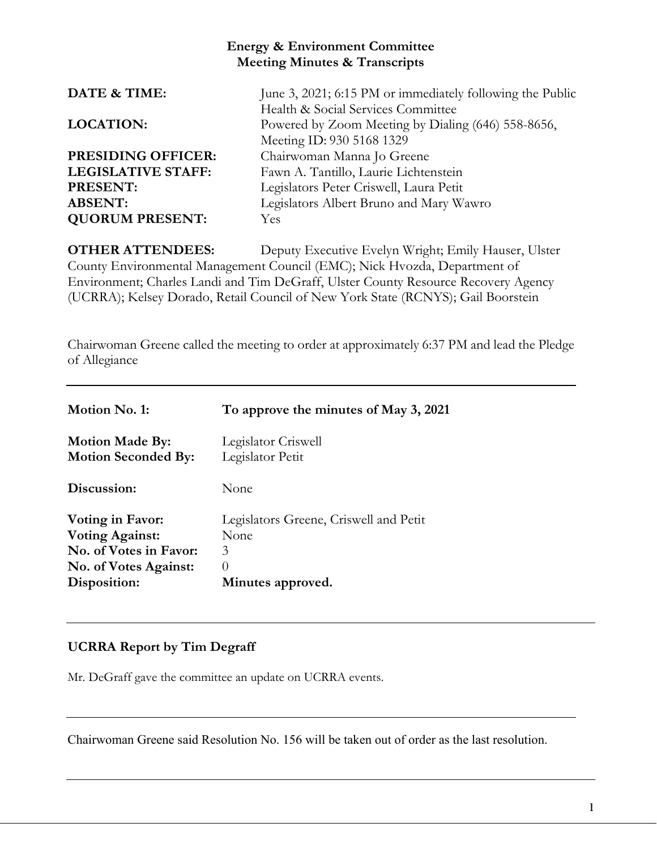## **Energy & Environment Committee Meeting Minutes & Transcripts**

| DATE & TIME:              | June 3, 2021; 6:15 PM or immediately following the Public |
|---------------------------|-----------------------------------------------------------|
|                           | Health & Social Services Committee                        |
| <b>LOCATION:</b>          | Powered by Zoom Meeting by Dialing (646) 558-8656,        |
|                           | Meeting ID: 930 5168 1329                                 |
| <b>PRESIDING OFFICER:</b> | Chairwoman Manna Jo Greene                                |
| <b>LEGISLATIVE STAFF:</b> | Fawn A. Tantillo, Laurie Lichtenstein                     |
| PRESENT:                  | Legislators Peter Criswell, Laura Petit                   |
| <b>ABSENT:</b>            | Legislators Albert Bruno and Mary Wawro                   |
| <b>QUORUM PRESENT:</b>    | Yes                                                       |
|                           |                                                           |

**OTHER ATTENDEES:** Deputy Executive Evelyn Wright; Emily Hauser, Ulster County Environmental Management Council (EMC); Nick Hvozda, Department of Environment; Charles Landi and Tim DeGraff, Ulster County Resource Recovery Agency (UCRRA); Kelsey Dorado, Retail Council of New York State (RCNYS); Gail Boorstein

Chairwoman Greene called the meeting to order at approximately 6:37 PM and lead the Pledge of Allegiance

| Motion No. 1:                                        | To approve the minutes of May 3, 2021   |
|------------------------------------------------------|-----------------------------------------|
| <b>Motion Made By:</b><br><b>Motion Seconded By:</b> | Legislator Criswell<br>Legislator Petit |
| Discussion:                                          | None                                    |
| Voting in Favor:                                     | Legislators Greene, Criswell and Petit  |
| <b>Voting Against:</b>                               | None                                    |
| No. of Votes in Favor:                               | 3                                       |
| <b>No. of Votes Against:</b>                         | $\Omega$                                |
| Disposition:                                         | Minutes approved.                       |

## **UCRRA Report by Tim Degraff**

Mr. DeGraff gave the committee an update on UCRRA events.

Chairwoman Greene said Resolution No. 156 will be taken out of order as the last resolution.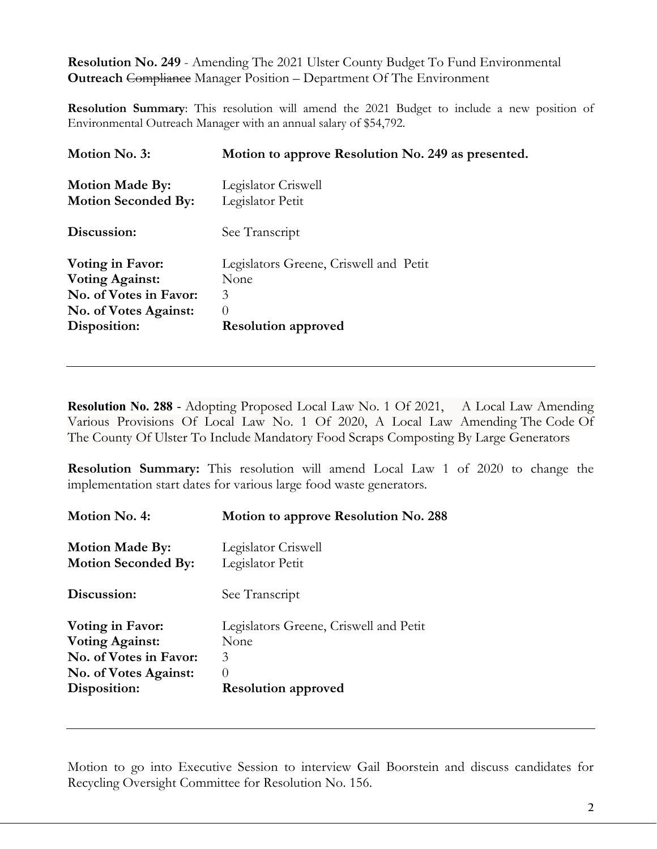**Resolution No. 249** - Amending The 2021 Ulster County Budget To Fund Environmental **Outreach** Compliance Manager Position – Department Of The Environment

**Resolution Summary**: This resolution will amend the 2021 Budget to include a new position of Environmental Outreach Manager with an annual salary of \$54,792.

| Motion to approve Resolution No. 249 as presented.                                            |
|-----------------------------------------------------------------------------------------------|
| Legislator Criswell<br>Legislator Petit                                                       |
| See Transcript                                                                                |
| Legislators Greene, Criswell and Petit<br>None<br>3<br>$\Omega$<br><b>Resolution approved</b> |
|                                                                                               |

**Resolution No. 288** - Adopting Proposed Local Law No. 1 Of 2021, A Local Law Amending Various Provisions Of Local Law No. 1 Of 2020, A Local Law Amending The Code Of The County Of Ulster To Include Mandatory Food Scraps Composting By Large Generators

**Resolution Summary:** This resolution will amend Local Law 1 of 2020 to change the implementation start dates for various large food waste generators.

| Motion No. 4:                | Motion to approve Resolution No. 288   |
|------------------------------|----------------------------------------|
| <b>Motion Made By:</b>       | Legislator Criswell                    |
| <b>Motion Seconded By:</b>   | Legislator Petit                       |
| Discussion:                  | See Transcript                         |
| Voting in Favor:             | Legislators Greene, Criswell and Petit |
| <b>Voting Against:</b>       | None                                   |
| No. of Votes in Favor:       | 3                                      |
| <b>No. of Votes Against:</b> | $\theta$                               |
| Disposition:                 | <b>Resolution approved</b>             |

Motion to go into Executive Session to interview Gail Boorstein and discuss candidates for Recycling Oversight Committee for Resolution No. 156.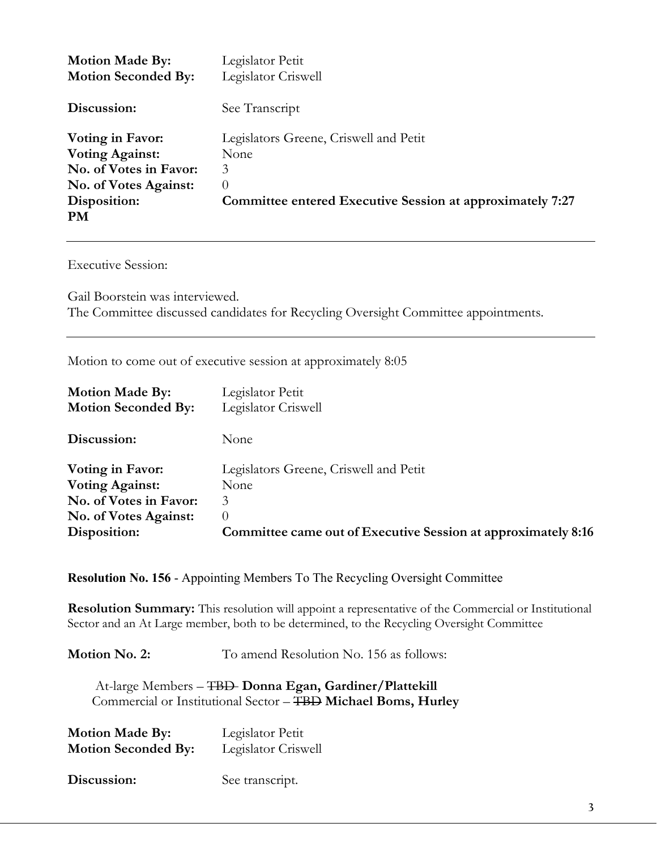| <b>Motion Made By:</b><br><b>Motion Seconded By:</b> | Legislator Petit<br>Legislator Criswell                   |
|------------------------------------------------------|-----------------------------------------------------------|
| Discussion:                                          | See Transcript                                            |
| <b>Voting in Favor:</b>                              | Legislators Greene, Criswell and Petit                    |
| <b>Voting Against:</b>                               | None                                                      |
| No. of Votes in Favor:                               | 3                                                         |
| <b>No. of Votes Against:</b>                         | $\left( \right)$                                          |
| Disposition:                                         | Committee entered Executive Session at approximately 7:27 |
| <b>PM</b>                                            |                                                           |

Executive Session:

Gail Boorstein was interviewed. The Committee discussed candidates for Recycling Oversight Committee appointments.

Motion to come out of executive session at approximately 8:05

| <b>Motion Made By:</b>     | Legislator Petit                                              |
|----------------------------|---------------------------------------------------------------|
| <b>Motion Seconded By:</b> | Legislator Criswell                                           |
| Discussion:                | None                                                          |
| Voting in Favor:           | Legislators Greene, Criswell and Petit                        |
| <b>Voting Against:</b>     | None                                                          |
| No. of Votes in Favor:     | 3                                                             |
| No. of Votes Against:      | $\Omega$                                                      |
| Disposition:               | Committee came out of Executive Session at approximately 8:16 |

**Resolution No. 156** - Appointing Members To The Recycling Oversight Committee

**Resolution Summary:** This resolution will appoint a representative of the Commercial or Institutional Sector and an At Large member, both to be determined, to the Recycling Oversight Committee

**Motion No. 2:** To amend Resolution No. 156 as follows:

At-large Members – TBD **Donna Egan, Gardiner/Plattekill** Commercial or Institutional Sector – TBD **Michael Boms, Hurley**

| <b>Motion Made By:</b>     | Legislator Petit    |
|----------------------------|---------------------|
| <b>Motion Seconded By:</b> | Legislator Criswell |

Discussion: See transcript.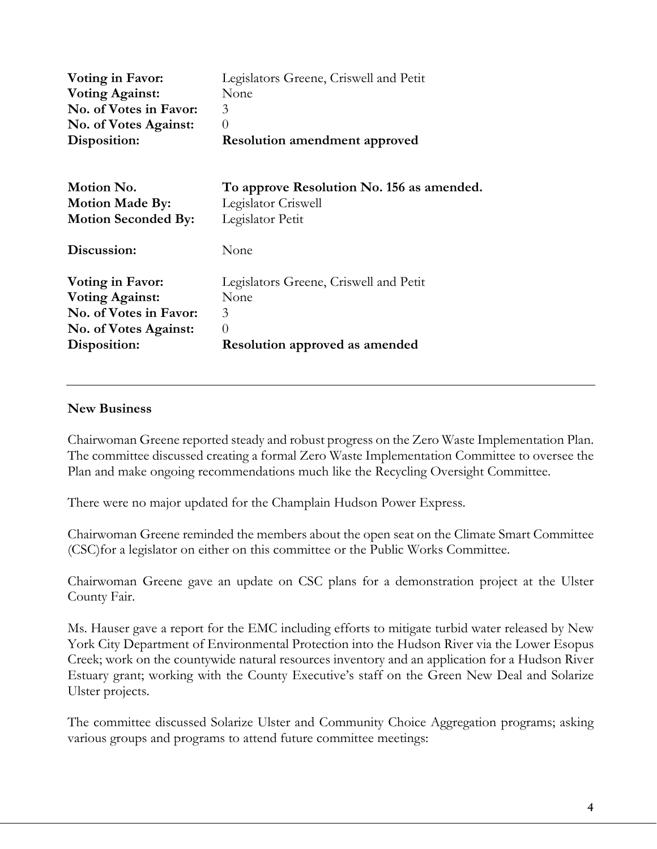| Voting in Favor:             | Legislators Greene, Criswell and Petit    |
|------------------------------|-------------------------------------------|
| <b>Voting Against:</b>       | None                                      |
| No. of Votes in Favor:       | 3                                         |
| No. of Votes Against:        | $\theta$                                  |
| Disposition:                 | <b>Resolution amendment approved</b>      |
| Motion No.                   | To approve Resolution No. 156 as amended. |
| <b>Motion Made By:</b>       | Legislator Criswell                       |
| <b>Motion Seconded By:</b>   | Legislator Petit                          |
| Discussion:                  | None                                      |
| Voting in Favor:             | Legislators Greene, Criswell and Petit    |
| <b>Voting Against:</b>       | None                                      |
| No. of Votes in Favor:       | 3                                         |
| <b>No. of Votes Against:</b> | $\overline{0}$                            |
| Disposition:                 | <b>Resolution approved as amended</b>     |

## **New Business**

Chairwoman Greene reported steady and robust progress on the Zero Waste Implementation Plan. The committee discussed creating a formal Zero Waste Implementation Committee to oversee the Plan and make ongoing recommendations much like the Recycling Oversight Committee.

There were no major updated for the Champlain Hudson Power Express.

Chairwoman Greene reminded the members about the open seat on the Climate Smart Committee (CSC)for a legislator on either on this committee or the Public Works Committee.

Chairwoman Greene gave an update on CSC plans for a demonstration project at the Ulster County Fair.

Ms. Hauser gave a report for the EMC including efforts to mitigate turbid water released by New York City Department of Environmental Protection into the Hudson River via the Lower Esopus Creek; work on the countywide natural resources inventory and an application for a Hudson River Estuary grant; working with the County Executive's staff on the Green New Deal and Solarize Ulster projects.

The committee discussed Solarize Ulster and Community Choice Aggregation programs; asking various groups and programs to attend future committee meetings: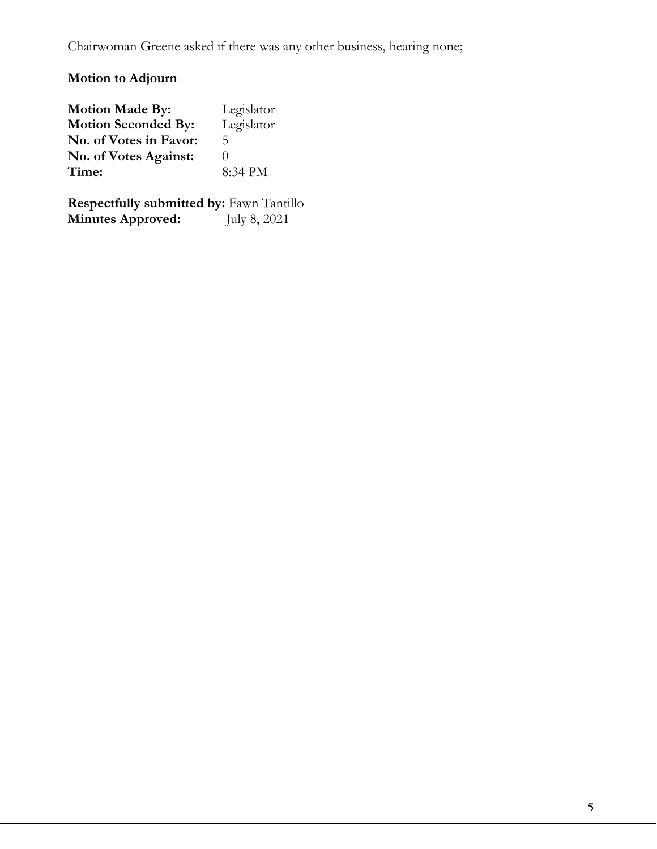Chairwoman Greene asked if there was any other business, hearing none;

## **Motion to Adjourn**

| <b>Motion Made By:</b>     | Legislator       |
|----------------------------|------------------|
| <b>Motion Seconded By:</b> | Legislator       |
| No. of Votes in Favor:     | 5                |
| No. of Votes Against:      | $\left( \right)$ |
| Time:                      | 8:34 PM          |

**Respectfully submitted by:** Fawn Tantillo **Minutes Approved:** July 8, 2021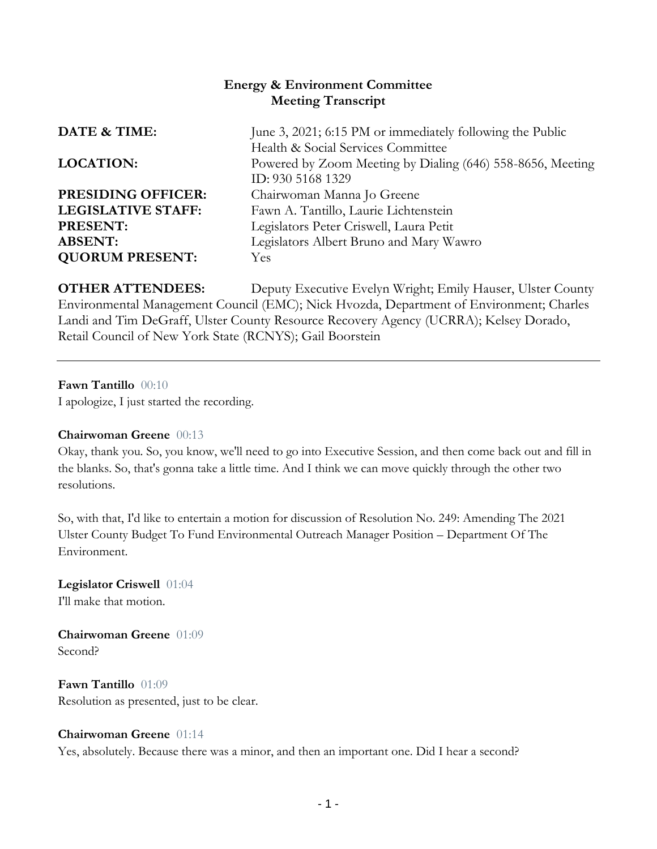## **Energy & Environment Committee Meeting Transcript**

| June 3, 2021; 6:15 PM or immediately following the Public                                                             |
|-----------------------------------------------------------------------------------------------------------------------|
| Health & Social Services Committee<br>Powered by Zoom Meeting by Dialing (646) 558-8656, Meeting<br>ID: 930 5168 1329 |
| Chairwoman Manna Jo Greene                                                                                            |
| Fawn A. Tantillo, Laurie Lichtenstein                                                                                 |
| Legislators Peter Criswell, Laura Petit                                                                               |
| Legislators Albert Bruno and Mary Wawro                                                                               |
| Yes                                                                                                                   |
|                                                                                                                       |

**OTHER ATTENDEES:** Deputy Executive Evelyn Wright; Emily Hauser, Ulster County Environmental Management Council (EMC); Nick Hvozda, Department of Environment; Charles Landi and Tim DeGraff, Ulster County Resource Recovery Agency (UCRRA); Kelsey Dorado, Retail Council of New York State (RCNYS); Gail Boorstein

**Fawn Tantillo** 00:10

I apologize, I just started the recording.

#### **Chairwoman Greene** 00:13

Okay, thank you. So, you know, we'll need to go into Executive Session, and then come back out and fill in the blanks. So, that's gonna take a little time. And I think we can move quickly through the other two resolutions.

So, with that, I'd like to entertain a motion for discussion of Resolution No. 249: Amending The 2021 Ulster County Budget To Fund Environmental Outreach Manager Position – Department Of The Environment.

## **Legislator Criswell** 01:04

I'll make that motion.

**Chairwoman Greene** 01:09 Second?

**Fawn Tantillo** 01:09 Resolution as presented, just to be clear.

#### **Chairwoman Greene** 01:14

Yes, absolutely. Because there was a minor, and then an important one. Did I hear a second?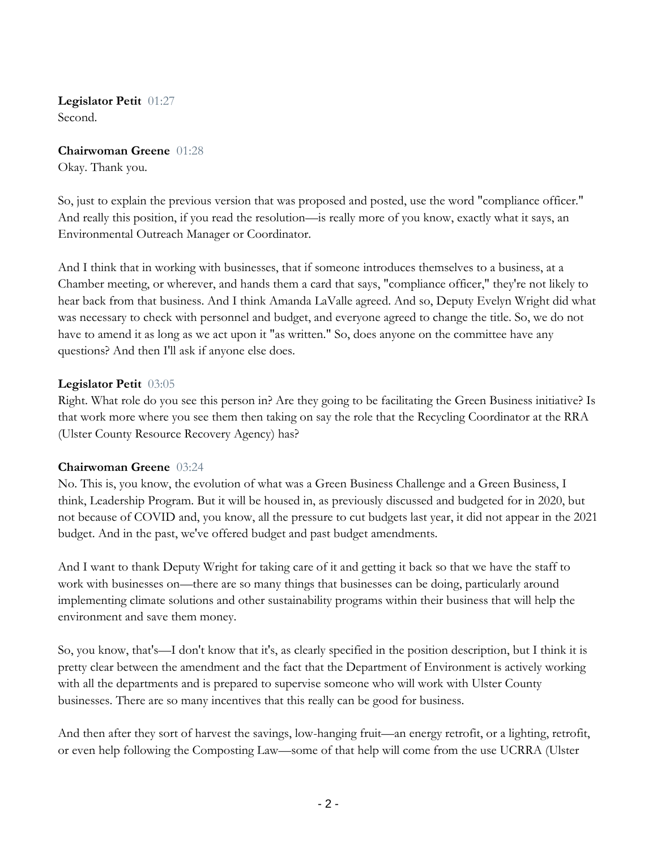**Legislator Petit** 01:27 Second.

**Chairwoman Greene** 01:28 Okay. Thank you.

So, just to explain the previous version that was proposed and posted, use the word "compliance officer." And really this position, if you read the resolution—is really more of you know, exactly what it says, an Environmental Outreach Manager or Coordinator.

And I think that in working with businesses, that if someone introduces themselves to a business, at a Chamber meeting, or wherever, and hands them a card that says, "compliance officer," they're not likely to hear back from that business. And I think Amanda LaValle agreed. And so, Deputy Evelyn Wright did what was necessary to check with personnel and budget, and everyone agreed to change the title. So, we do not have to amend it as long as we act upon it "as written." So, does anyone on the committee have any questions? And then I'll ask if anyone else does.

## **Legislator Petit** 03:05

Right. What role do you see this person in? Are they going to be facilitating the Green Business initiative? Is that work more where you see them then taking on say the role that the Recycling Coordinator at the RRA (Ulster County Resource Recovery Agency) has?

#### **Chairwoman Greene** 03:24

No. This is, you know, the evolution of what was a Green Business Challenge and a Green Business, I think, Leadership Program. But it will be housed in, as previously discussed and budgeted for in 2020, but not because of COVID and, you know, all the pressure to cut budgets last year, it did not appear in the 2021 budget. And in the past, we've offered budget and past budget amendments.

And I want to thank Deputy Wright for taking care of it and getting it back so that we have the staff to work with businesses on—there are so many things that businesses can be doing, particularly around implementing climate solutions and other sustainability programs within their business that will help the environment and save them money.

So, you know, that's—I don't know that it's, as clearly specified in the position description, but I think it is pretty clear between the amendment and the fact that the Department of Environment is actively working with all the departments and is prepared to supervise someone who will work with Ulster County businesses. There are so many incentives that this really can be good for business.

And then after they sort of harvest the savings, low-hanging fruit—an energy retrofit, or a lighting, retrofit, or even help following the Composting Law—some of that help will come from the use UCRRA (Ulster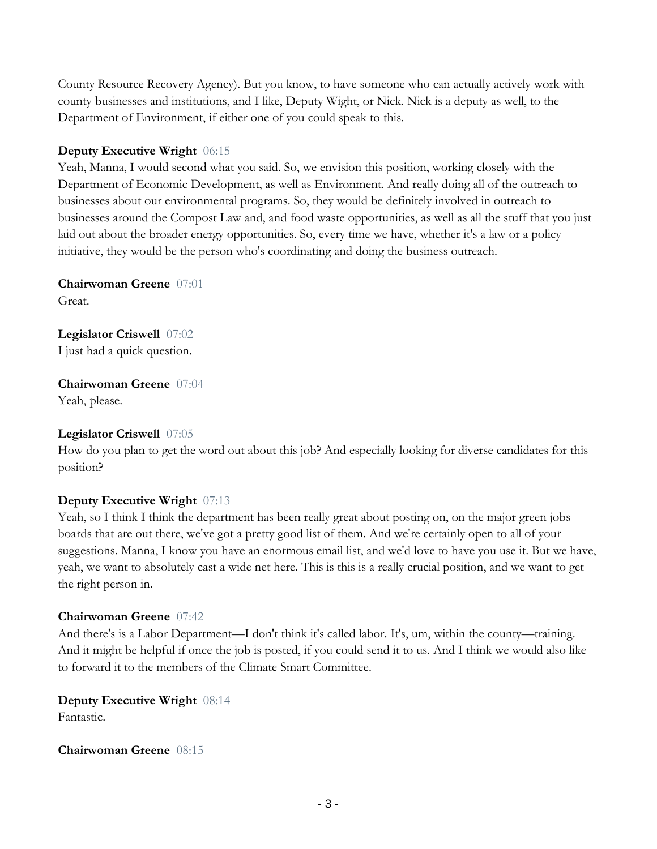County Resource Recovery Agency). But you know, to have someone who can actually actively work with county businesses and institutions, and I like, Deputy Wight, or Nick. Nick is a deputy as well, to the Department of Environment, if either one of you could speak to this.

## **Deputy Executive Wright** 06:15

Yeah, Manna, I would second what you said. So, we envision this position, working closely with the Department of Economic Development, as well as Environment. And really doing all of the outreach to businesses about our environmental programs. So, they would be definitely involved in outreach to businesses around the Compost Law and, and food waste opportunities, as well as all the stuff that you just laid out about the broader energy opportunities. So, every time we have, whether it's a law or a policy initiative, they would be the person who's coordinating and doing the business outreach.

**Chairwoman Greene** 07:01 Great.

**Legislator Criswell** 07:02 I just had a quick question.

**Chairwoman Greene** 07:04 Yeah, please.

#### **Legislator Criswell** 07:05

How do you plan to get the word out about this job? And especially looking for diverse candidates for this position?

## **Deputy Executive Wright** 07:13

Yeah, so I think I think the department has been really great about posting on, on the major green jobs boards that are out there, we've got a pretty good list of them. And we're certainly open to all of your suggestions. Manna, I know you have an enormous email list, and we'd love to have you use it. But we have, yeah, we want to absolutely cast a wide net here. This is this is a really crucial position, and we want to get the right person in.

#### **Chairwoman Greene** 07:42

And there's is a Labor Department—I don't think it's called labor. It's, um, within the county—training. And it might be helpful if once the job is posted, if you could send it to us. And I think we would also like to forward it to the members of the Climate Smart Committee.

**Deputy Executive Wright** 08:14 Fantastic.

#### **Chairwoman Greene** 08:15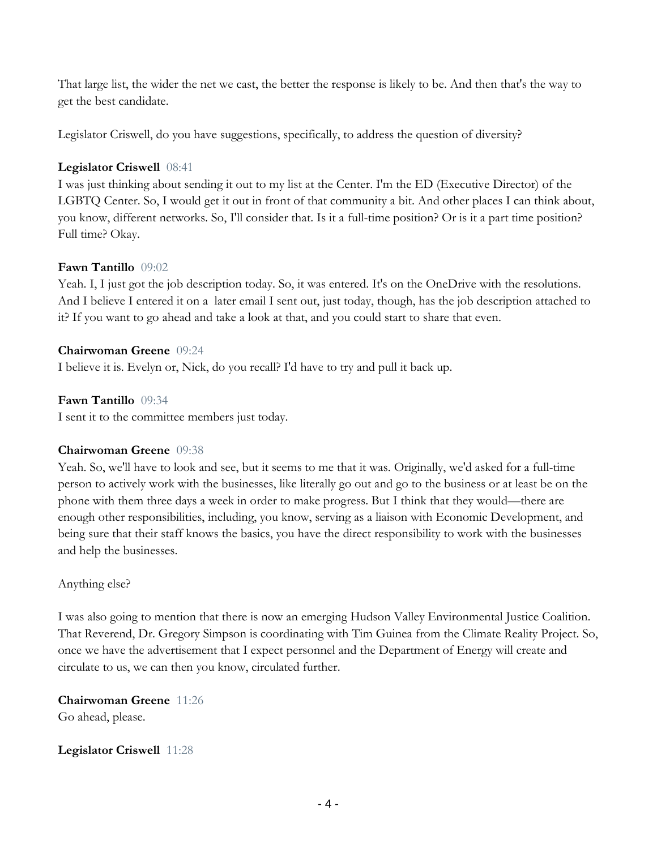That large list, the wider the net we cast, the better the response is likely to be. And then that's the way to get the best candidate.

Legislator Criswell, do you have suggestions, specifically, to address the question of diversity?

## **Legislator Criswell** 08:41

I was just thinking about sending it out to my list at the Center. I'm the ED (Executive Director) of the LGBTQ Center. So, I would get it out in front of that community a bit. And other places I can think about, you know, different networks. So, I'll consider that. Is it a full-time position? Or is it a part time position? Full time? Okay.

## **Fawn Tantillo** 09:02

Yeah. I, I just got the job description today. So, it was entered. It's on the OneDrive with the resolutions. And I believe I entered it on a later email I sent out, just today, though, has the job description attached to it? If you want to go ahead and take a look at that, and you could start to share that even.

## **Chairwoman Greene** 09:24

I believe it is. Evelyn or, Nick, do you recall? I'd have to try and pull it back up.

## **Fawn Tantillo** 09:34

I sent it to the committee members just today.

## **Chairwoman Greene** 09:38

Yeah. So, we'll have to look and see, but it seems to me that it was. Originally, we'd asked for a full-time person to actively work with the businesses, like literally go out and go to the business or at least be on the phone with them three days a week in order to make progress. But I think that they would—there are enough other responsibilities, including, you know, serving as a liaison with Economic Development, and being sure that their staff knows the basics, you have the direct responsibility to work with the businesses and help the businesses.

## Anything else?

I was also going to mention that there is now an emerging Hudson Valley Environmental Justice Coalition. That Reverend, Dr. Gregory Simpson is coordinating with Tim Guinea from the Climate Reality Project. So, once we have the advertisement that I expect personnel and the Department of Energy will create and circulate to us, we can then you know, circulated further.

**Chairwoman Greene** 11:26 Go ahead, please.

## **Legislator Criswell** 11:28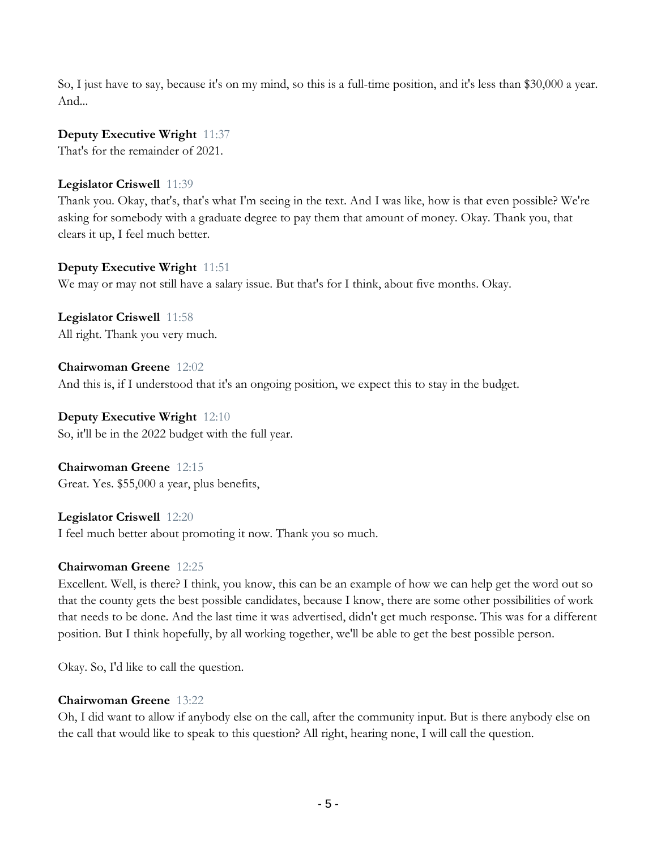So, I just have to say, because it's on my mind, so this is a full-time position, and it's less than \$30,000 a year. And...

**Deputy Executive Wright** 11:37

That's for the remainder of 2021.

## **Legislator Criswell** 11:39

Thank you. Okay, that's, that's what I'm seeing in the text. And I was like, how is that even possible? We're asking for somebody with a graduate degree to pay them that amount of money. Okay. Thank you, that clears it up, I feel much better.

**Deputy Executive Wright** 11:51 We may or may not still have a salary issue. But that's for I think, about five months. Okay.

**Legislator Criswell** 11:58 All right. Thank you very much.

**Chairwoman Greene** 12:02 And this is, if I understood that it's an ongoing position, we expect this to stay in the budget.

**Deputy Executive Wright** 12:10 So, it'll be in the 2022 budget with the full year.

**Chairwoman Greene** 12:15 Great. Yes. \$55,000 a year, plus benefits,

**Legislator Criswell** 12:20 I feel much better about promoting it now. Thank you so much.

## **Chairwoman Greene** 12:25

Excellent. Well, is there? I think, you know, this can be an example of how we can help get the word out so that the county gets the best possible candidates, because I know, there are some other possibilities of work that needs to be done. And the last time it was advertised, didn't get much response. This was for a different position. But I think hopefully, by all working together, we'll be able to get the best possible person.

Okay. So, I'd like to call the question.

## **Chairwoman Greene** 13:22

Oh, I did want to allow if anybody else on the call, after the community input. But is there anybody else on the call that would like to speak to this question? All right, hearing none, I will call the question.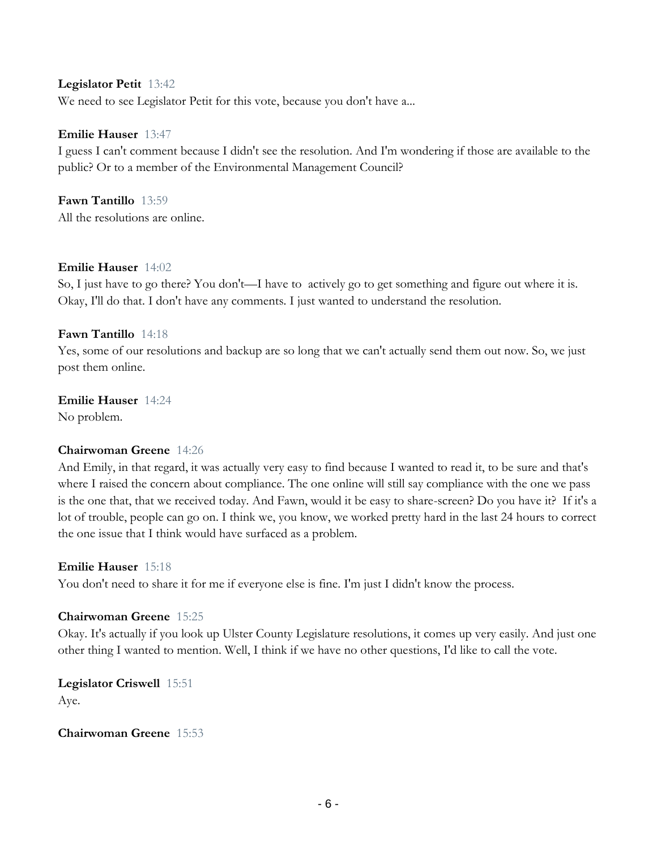#### **Legislator Petit** 13:42

We need to see Legislator Petit for this vote, because you don't have a...

#### **Emilie Hauser** 13:47

I guess I can't comment because I didn't see the resolution. And I'm wondering if those are available to the public? Or to a member of the Environmental Management Council?

#### **Fawn Tantillo** 13:59

All the resolutions are online.

#### **Emilie Hauser** 14:02

So, I just have to go there? You don't—I have to actively go to get something and figure out where it is. Okay, I'll do that. I don't have any comments. I just wanted to understand the resolution.

#### **Fawn Tantillo** 14:18

Yes, some of our resolutions and backup are so long that we can't actually send them out now. So, we just post them online.

#### **Emilie Hauser** 14:24

No problem.

#### **Chairwoman Greene** 14:26

And Emily, in that regard, it was actually very easy to find because I wanted to read it, to be sure and that's where I raised the concern about compliance. The one online will still say compliance with the one we pass is the one that, that we received today. And Fawn, would it be easy to share-screen? Do you have it? If it's a lot of trouble, people can go on. I think we, you know, we worked pretty hard in the last 24 hours to correct the one issue that I think would have surfaced as a problem.

#### **Emilie Hauser** 15:18

You don't need to share it for me if everyone else is fine. I'm just I didn't know the process.

#### **Chairwoman Greene** 15:25

Okay. It's actually if you look up Ulster County Legislature resolutions, it comes up very easily. And just one other thing I wanted to mention. Well, I think if we have no other questions, I'd like to call the vote.

**Legislator Criswell** 15:51 Aye.

#### **Chairwoman Greene** 15:53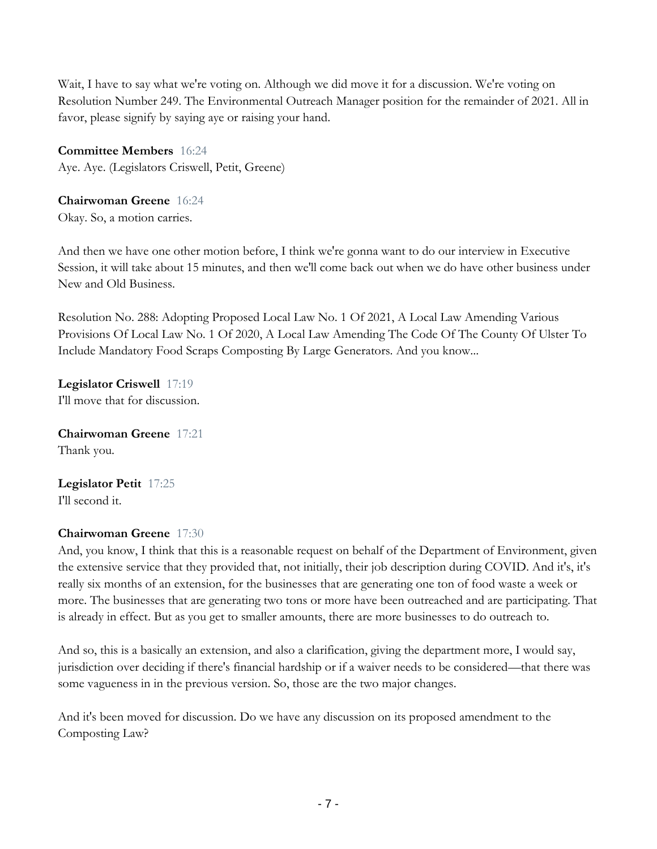Wait, I have to say what we're voting on. Although we did move it for a discussion. We're voting on Resolution Number 249. The Environmental Outreach Manager position for the remainder of 2021. All in favor, please signify by saying aye or raising your hand.

**Committee Members** 16:24 Aye. Aye. (Legislators Criswell, Petit, Greene)

**Chairwoman Greene** 16:24 Okay. So, a motion carries.

And then we have one other motion before, I think we're gonna want to do our interview in Executive Session, it will take about 15 minutes, and then we'll come back out when we do have other business under New and Old Business.

Resolution No. 288: Adopting Proposed Local Law No. 1 Of 2021, A Local Law Amending Various Provisions Of Local Law No. 1 Of 2020, A Local Law Amending The Code Of The County Of Ulster To Include Mandatory Food Scraps Composting By Large Generators. And you know...

**Legislator Criswell** 17:19 I'll move that for discussion.

**Chairwoman Greene** 17:21 Thank you.

**Legislator Petit** 17:25 I'll second it.

## **Chairwoman Greene** 17:30

And, you know, I think that this is a reasonable request on behalf of the Department of Environment, given the extensive service that they provided that, not initially, their job description during COVID. And it's, it's really six months of an extension, for the businesses that are generating one ton of food waste a week or more. The businesses that are generating two tons or more have been outreached and are participating. That is already in effect. But as you get to smaller amounts, there are more businesses to do outreach to.

And so, this is a basically an extension, and also a clarification, giving the department more, I would say, jurisdiction over deciding if there's financial hardship or if a waiver needs to be considered—that there was some vagueness in in the previous version. So, those are the two major changes.

And it's been moved for discussion. Do we have any discussion on its proposed amendment to the Composting Law?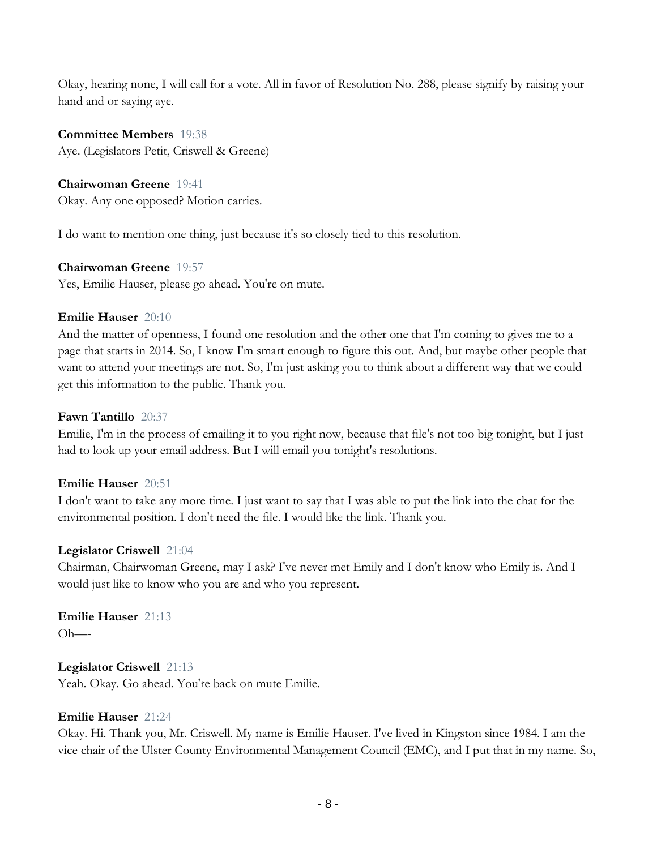Okay, hearing none, I will call for a vote. All in favor of Resolution No. 288, please signify by raising your hand and or saying aye.

**Committee Members** 19:38 Aye. (Legislators Petit, Criswell & Greene)

## **Chairwoman Greene** 19:41

Okay. Any one opposed? Motion carries.

I do want to mention one thing, just because it's so closely tied to this resolution.

**Chairwoman Greene** 19:57

Yes, Emilie Hauser, please go ahead. You're on mute.

#### **Emilie Hauser** 20:10

And the matter of openness, I found one resolution and the other one that I'm coming to gives me to a page that starts in 2014. So, I know I'm smart enough to figure this out. And, but maybe other people that want to attend your meetings are not. So, I'm just asking you to think about a different way that we could get this information to the public. Thank you.

#### **Fawn Tantillo** 20:37

Emilie, I'm in the process of emailing it to you right now, because that file's not too big tonight, but I just had to look up your email address. But I will email you tonight's resolutions.

#### **Emilie Hauser** 20:51

I don't want to take any more time. I just want to say that I was able to put the link into the chat for the environmental position. I don't need the file. I would like the link. Thank you.

#### **Legislator Criswell** 21:04

Chairman, Chairwoman Greene, may I ask? I've never met Emily and I don't know who Emily is. And I would just like to know who you are and who you represent.

**Emilie Hauser** 21:13  $Oh$ —–

#### **Legislator Criswell** 21:13

Yeah. Okay. Go ahead. You're back on mute Emilie.

#### **Emilie Hauser** 21:24

Okay. Hi. Thank you, Mr. Criswell. My name is Emilie Hauser. I've lived in Kingston since 1984. I am the vice chair of the Ulster County Environmental Management Council (EMC), and I put that in my name. So,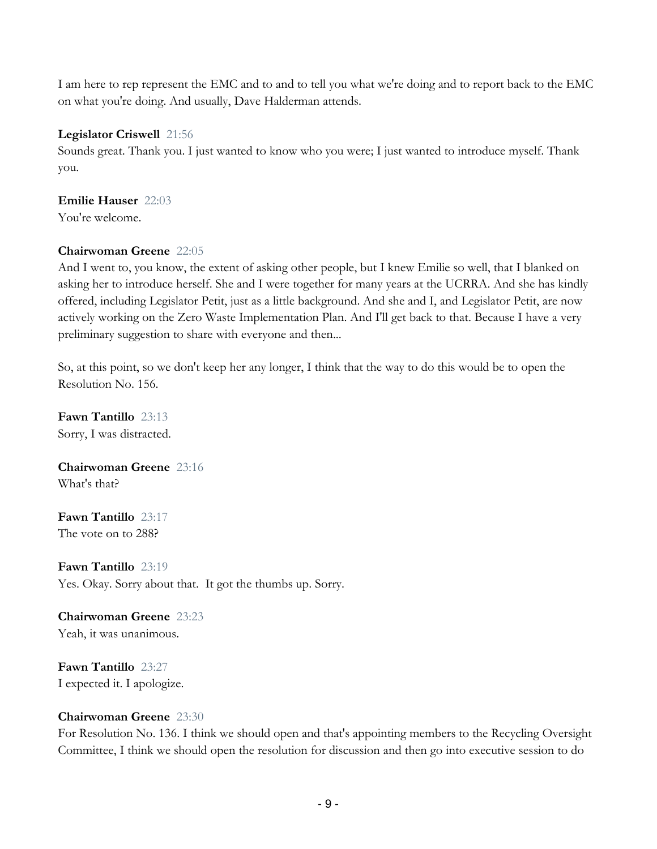I am here to rep represent the EMC and to and to tell you what we're doing and to report back to the EMC on what you're doing. And usually, Dave Halderman attends.

## **Legislator Criswell** 21:56

Sounds great. Thank you. I just wanted to know who you were; I just wanted to introduce myself. Thank you.

## **Emilie Hauser** 22:03

You're welcome.

## **Chairwoman Greene** 22:05

And I went to, you know, the extent of asking other people, but I knew Emilie so well, that I blanked on asking her to introduce herself. She and I were together for many years at the UCRRA. And she has kindly offered, including Legislator Petit, just as a little background. And she and I, and Legislator Petit, are now actively working on the Zero Waste Implementation Plan. And I'll get back to that. Because I have a very preliminary suggestion to share with everyone and then...

So, at this point, so we don't keep her any longer, I think that the way to do this would be to open the Resolution No. 156.

**Fawn Tantillo** 23:13 Sorry, I was distracted.

**Chairwoman Greene** 23:16 What's that?

**Fawn Tantillo** 23:17 The vote on to 288?

**Fawn Tantillo** 23:19 Yes. Okay. Sorry about that. It got the thumbs up. Sorry.

## **Chairwoman Greene** 23:23 Yeah, it was unanimous.

**Fawn Tantillo** 23:27 I expected it. I apologize.

## **Chairwoman Greene** 23:30

For Resolution No. 136. I think we should open and that's appointing members to the Recycling Oversight Committee, I think we should open the resolution for discussion and then go into executive session to do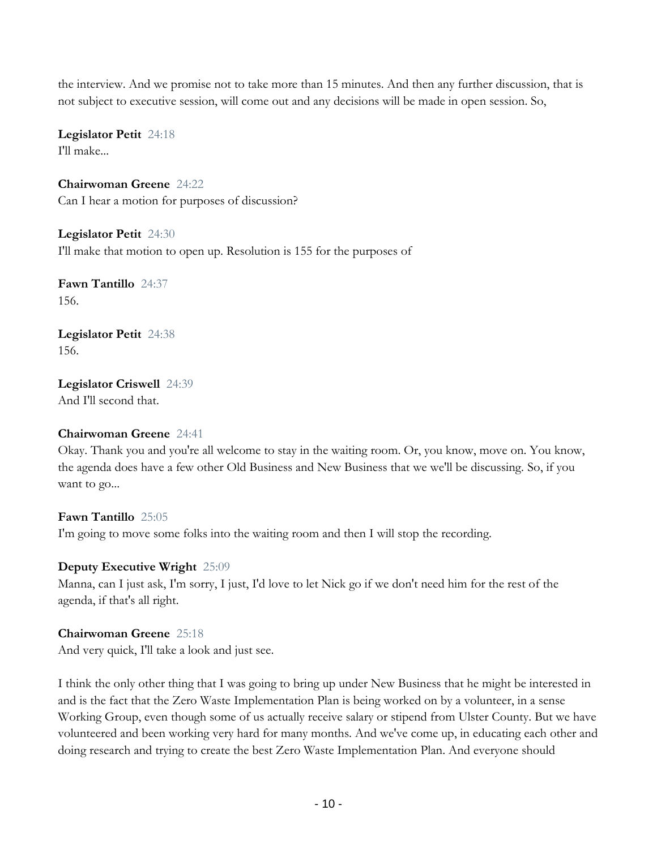the interview. And we promise not to take more than 15 minutes. And then any further discussion, that is not subject to executive session, will come out and any decisions will be made in open session. So,

**Legislator Petit** 24:18 I'll make...

**Chairwoman Greene** 24:22 Can I hear a motion for purposes of discussion?

**Legislator Petit** 24:30 I'll make that motion to open up. Resolution is 155 for the purposes of

**Fawn Tantillo** 24:37 156.

**Legislator Petit** 24:38 156.

**Legislator Criswell** 24:39 And I'll second that.

## **Chairwoman Greene** 24:41

Okay. Thank you and you're all welcome to stay in the waiting room. Or, you know, move on. You know, the agenda does have a few other Old Business and New Business that we we'll be discussing. So, if you want to go...

## **Fawn Tantillo** 25:05 I'm going to move some folks into the waiting room and then I will stop the recording.

#### **Deputy Executive Wright** 25:09

Manna, can I just ask, I'm sorry, I just, I'd love to let Nick go if we don't need him for the rest of the agenda, if that's all right.

## **Chairwoman Greene** 25:18

And very quick, I'll take a look and just see.

I think the only other thing that I was going to bring up under New Business that he might be interested in and is the fact that the Zero Waste Implementation Plan is being worked on by a volunteer, in a sense Working Group, even though some of us actually receive salary or stipend from Ulster County. But we have volunteered and been working very hard for many months. And we've come up, in educating each other and doing research and trying to create the best Zero Waste Implementation Plan. And everyone should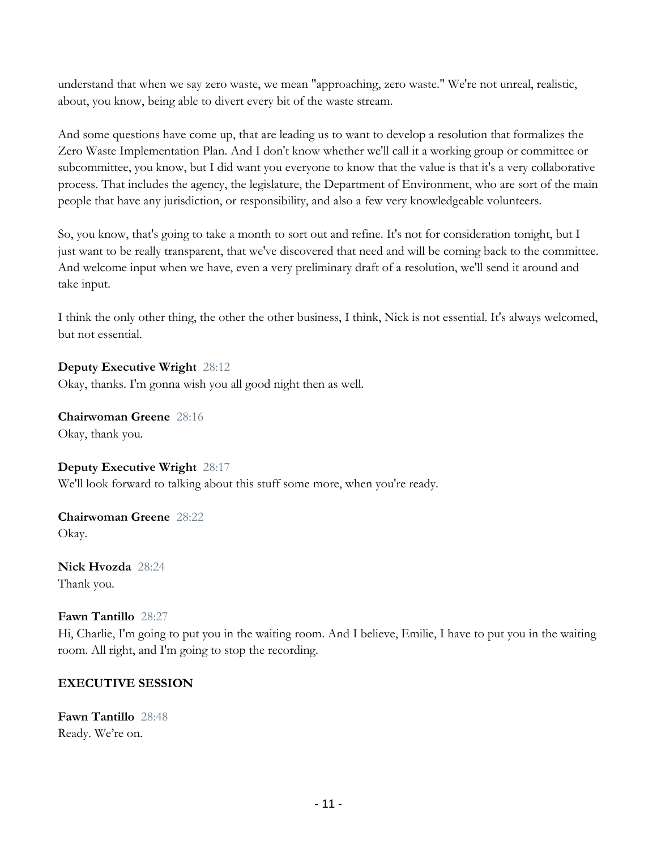understand that when we say zero waste, we mean "approaching, zero waste." We're not unreal, realistic, about, you know, being able to divert every bit of the waste stream.

And some questions have come up, that are leading us to want to develop a resolution that formalizes the Zero Waste Implementation Plan. And I don't know whether we'll call it a working group or committee or subcommittee, you know, but I did want you everyone to know that the value is that it's a very collaborative process. That includes the agency, the legislature, the Department of Environment, who are sort of the main people that have any jurisdiction, or responsibility, and also a few very knowledgeable volunteers.

So, you know, that's going to take a month to sort out and refine. It's not for consideration tonight, but I just want to be really transparent, that we've discovered that need and will be coming back to the committee. And welcome input when we have, even a very preliminary draft of a resolution, we'll send it around and take input.

I think the only other thing, the other the other business, I think, Nick is not essential. It's always welcomed, but not essential.

**Deputy Executive Wright** 28:12 Okay, thanks. I'm gonna wish you all good night then as well.

**Chairwoman Greene** 28:16 Okay, thank you.

**Deputy Executive Wright** 28:17 We'll look forward to talking about this stuff some more, when you're ready.

**Chairwoman Greene** 28:22 Okay.

**Nick Hvozda** 28:24 Thank you.

**Fawn Tantillo** 28:27

Hi, Charlie, I'm going to put you in the waiting room. And I believe, Emilie, I have to put you in the waiting room. All right, and I'm going to stop the recording.

## **EXECUTIVE SESSION**

**Fawn Tantillo** 28:48 Ready. We're on.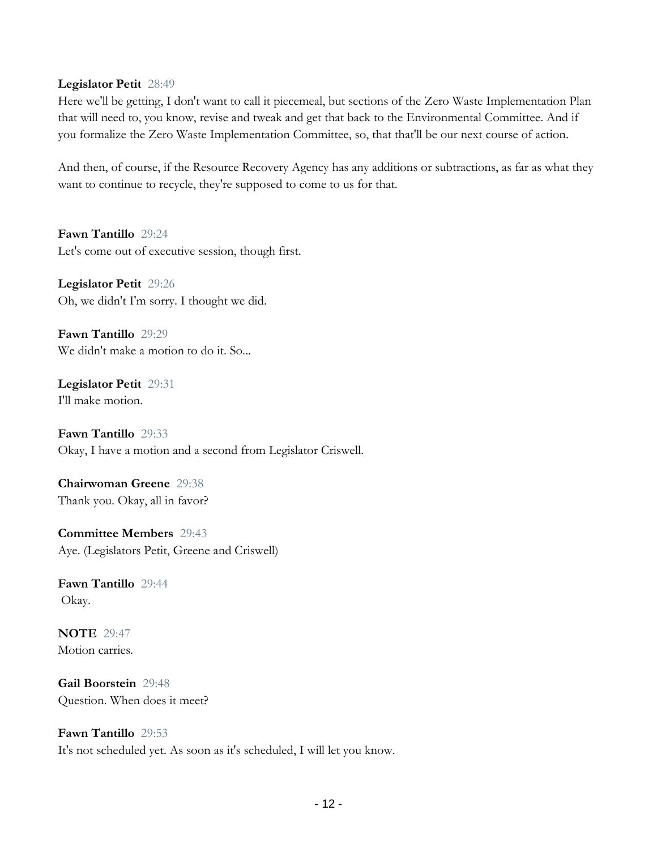#### **Legislator Petit** 28:49

Here we'll be getting, I don't want to call it piecemeal, but sections of the Zero Waste Implementation Plan that will need to, you know, revise and tweak and get that back to the Environmental Committee. And if you formalize the Zero Waste Implementation Committee, so, that that'll be our next course of action.

And then, of course, if the Resource Recovery Agency has any additions or subtractions, as far as what they want to continue to recycle, they're supposed to come to us for that.

**Fawn Tantillo** 29:24 Let's come out of executive session, though first.

**Legislator Petit** 29:26 Oh, we didn't I'm sorry. I thought we did.

**Fawn Tantillo** 29:29 We didn't make a motion to do it. So...

**Legislator Petit** 29:31 I'll make motion.

**Fawn Tantillo** 29:33 Okay, I have a motion and a second from Legislator Criswell.

**Chairwoman Greene** 29:38 Thank you. Okay, all in favor?

**Committee Members** 29:43 Aye. (Legislators Petit, Greene and Criswell)

**Fawn Tantillo** 29:44 Okay.

**NOTE** 29:47 Motion carries.

**Gail Boorstein** 29:48 Question. When does it meet?

**Fawn Tantillo** 29:53 It's not scheduled yet. As soon as it's scheduled, I will let you know.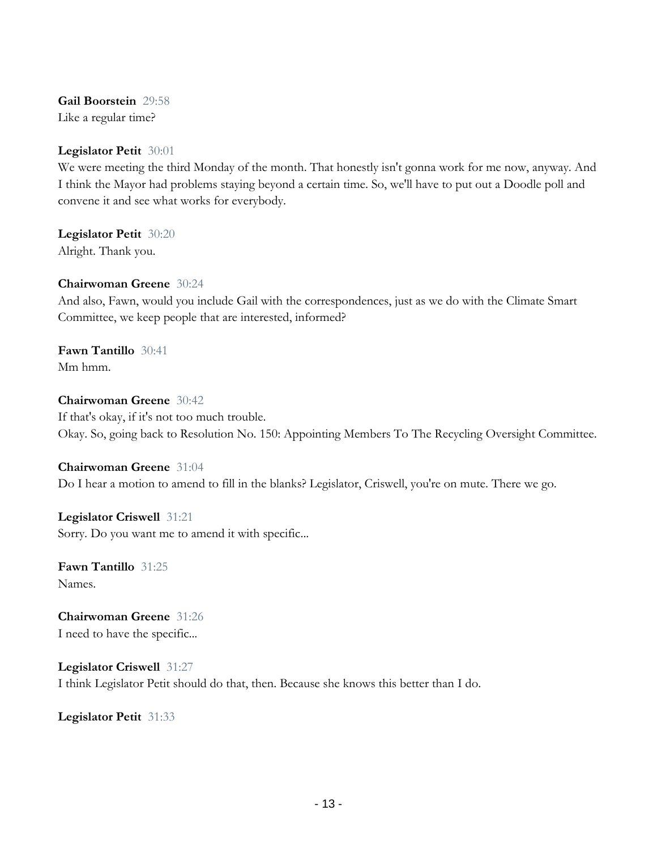**Gail Boorstein** 29:58 Like a regular time?

#### **Legislator Petit** 30:01

We were meeting the third Monday of the month. That honestly isn't gonna work for me now, anyway. And I think the Mayor had problems staying beyond a certain time. So, we'll have to put out a Doodle poll and convene it and see what works for everybody.

**Legislator Petit** 30:20 Alright. Thank you.

#### **Chairwoman Greene** 30:24

And also, Fawn, would you include Gail with the correspondences, just as we do with the Climate Smart Committee, we keep people that are interested, informed?

**Fawn Tantillo** 30:41 Mm hmm.

#### **Chairwoman Greene** 30:42

If that's okay, if it's not too much trouble. Okay. So, going back to Resolution No. 150: Appointing Members To The Recycling Oversight Committee.

#### **Chairwoman Greene** 31:04

Do I hear a motion to amend to fill in the blanks? Legislator, Criswell, you're on mute. There we go.

**Legislator Criswell** 31:21 Sorry. Do you want me to amend it with specific...

**Fawn Tantillo** 31:25 Names.

**Chairwoman Greene** 31:26 I need to have the specific...

**Legislator Criswell** 31:27 I think Legislator Petit should do that, then. Because she knows this better than I do.

**Legislator Petit** 31:33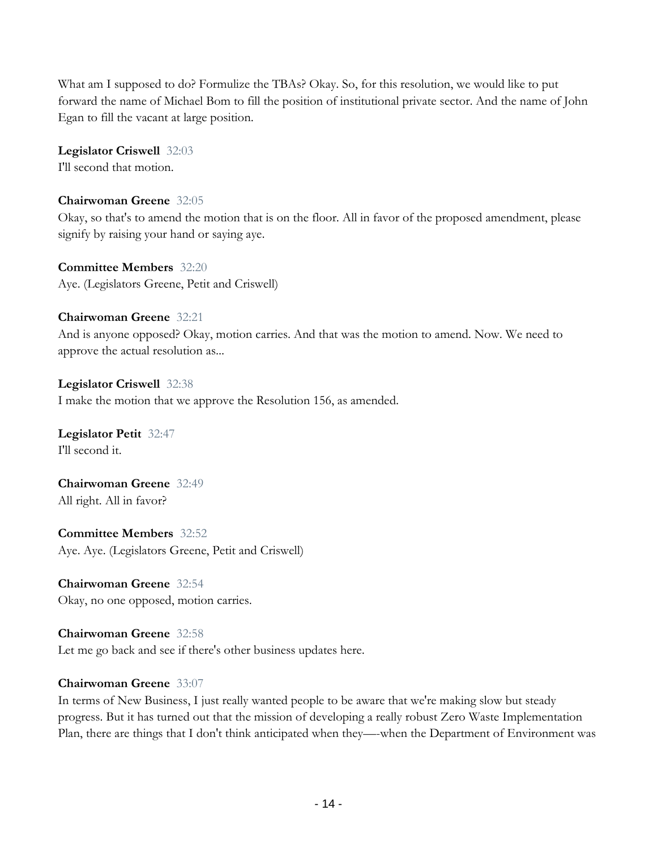What am I supposed to do? Formulize the TBAs? Okay. So, for this resolution, we would like to put forward the name of Michael Bom to fill the position of institutional private sector. And the name of John Egan to fill the vacant at large position.

#### **Legislator Criswell** 32:03

I'll second that motion.

## **Chairwoman Greene** 32:05

Okay, so that's to amend the motion that is on the floor. All in favor of the proposed amendment, please signify by raising your hand or saying aye.

**Committee Members** 32:20 Aye. (Legislators Greene, Petit and Criswell)

## **Chairwoman Greene** 32:21

And is anyone opposed? Okay, motion carries. And that was the motion to amend. Now. We need to approve the actual resolution as...

**Legislator Criswell** 32:38 I make the motion that we approve the Resolution 156, as amended.

**Legislator Petit** 32:47 I'll second it.

**Chairwoman Greene** 32:49 All right. All in favor?

**Committee Members** 32:52 Aye. Aye. (Legislators Greene, Petit and Criswell)

**Chairwoman Greene** 32:54 Okay, no one opposed, motion carries.

## **Chairwoman Greene** 32:58 Let me go back and see if there's other business updates here.

## **Chairwoman Greene** 33:07

In terms of New Business, I just really wanted people to be aware that we're making slow but steady progress. But it has turned out that the mission of developing a really robust Zero Waste Implementation Plan, there are things that I don't think anticipated when they—-when the Department of Environment was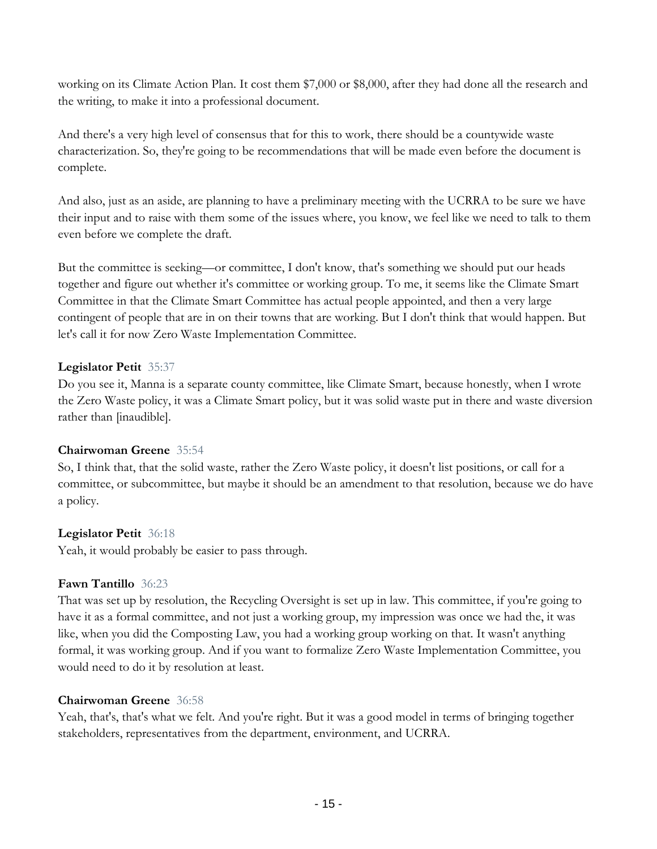working on its Climate Action Plan. It cost them \$7,000 or \$8,000, after they had done all the research and the writing, to make it into a professional document.

And there's a very high level of consensus that for this to work, there should be a countywide waste characterization. So, they're going to be recommendations that will be made even before the document is complete.

And also, just as an aside, are planning to have a preliminary meeting with the UCRRA to be sure we have their input and to raise with them some of the issues where, you know, we feel like we need to talk to them even before we complete the draft.

But the committee is seeking—or committee, I don't know, that's something we should put our heads together and figure out whether it's committee or working group. To me, it seems like the Climate Smart Committee in that the Climate Smart Committee has actual people appointed, and then a very large contingent of people that are in on their towns that are working. But I don't think that would happen. But let's call it for now Zero Waste Implementation Committee.

## **Legislator Petit** 35:37

Do you see it, Manna is a separate county committee, like Climate Smart, because honestly, when I wrote the Zero Waste policy, it was a Climate Smart policy, but it was solid waste put in there and waste diversion rather than [inaudible].

## **Chairwoman Greene** 35:54

So, I think that, that the solid waste, rather the Zero Waste policy, it doesn't list positions, or call for a committee, or subcommittee, but maybe it should be an amendment to that resolution, because we do have a policy.

## **Legislator Petit** 36:18

Yeah, it would probably be easier to pass through.

## **Fawn Tantillo** 36:23

That was set up by resolution, the Recycling Oversight is set up in law. This committee, if you're going to have it as a formal committee, and not just a working group, my impression was once we had the, it was like, when you did the Composting Law, you had a working group working on that. It wasn't anything formal, it was working group. And if you want to formalize Zero Waste Implementation Committee, you would need to do it by resolution at least.

## **Chairwoman Greene** 36:58

Yeah, that's, that's what we felt. And you're right. But it was a good model in terms of bringing together stakeholders, representatives from the department, environment, and UCRRA.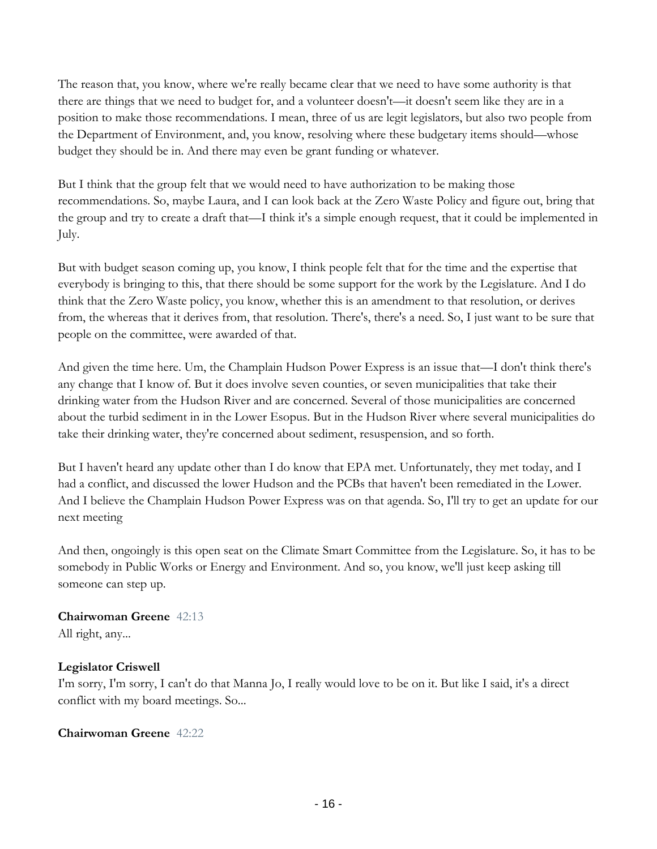The reason that, you know, where we're really became clear that we need to have some authority is that there are things that we need to budget for, and a volunteer doesn't—it doesn't seem like they are in a position to make those recommendations. I mean, three of us are legit legislators, but also two people from the Department of Environment, and, you know, resolving where these budgetary items should—whose budget they should be in. And there may even be grant funding or whatever.

But I think that the group felt that we would need to have authorization to be making those recommendations. So, maybe Laura, and I can look back at the Zero Waste Policy and figure out, bring that the group and try to create a draft that—I think it's a simple enough request, that it could be implemented in July.

But with budget season coming up, you know, I think people felt that for the time and the expertise that everybody is bringing to this, that there should be some support for the work by the Legislature. And I do think that the Zero Waste policy, you know, whether this is an amendment to that resolution, or derives from, the whereas that it derives from, that resolution. There's, there's a need. So, I just want to be sure that people on the committee, were awarded of that.

And given the time here. Um, the Champlain Hudson Power Express is an issue that—I don't think there's any change that I know of. But it does involve seven counties, or seven municipalities that take their drinking water from the Hudson River and are concerned. Several of those municipalities are concerned about the turbid sediment in in the Lower Esopus. But in the Hudson River where several municipalities do take their drinking water, they're concerned about sediment, resuspension, and so forth.

But I haven't heard any update other than I do know that EPA met. Unfortunately, they met today, and I had a conflict, and discussed the lower Hudson and the PCBs that haven't been remediated in the Lower. And I believe the Champlain Hudson Power Express was on that agenda. So, I'll try to get an update for our next meeting

And then, ongoingly is this open seat on the Climate Smart Committee from the Legislature. So, it has to be somebody in Public Works or Energy and Environment. And so, you know, we'll just keep asking till someone can step up.

# **Chairwoman Greene** 42:13

All right, any...

## **Legislator Criswell**

I'm sorry, I'm sorry, I can't do that Manna Jo, I really would love to be on it. But like I said, it's a direct conflict with my board meetings. So...

## **Chairwoman Greene** 42:22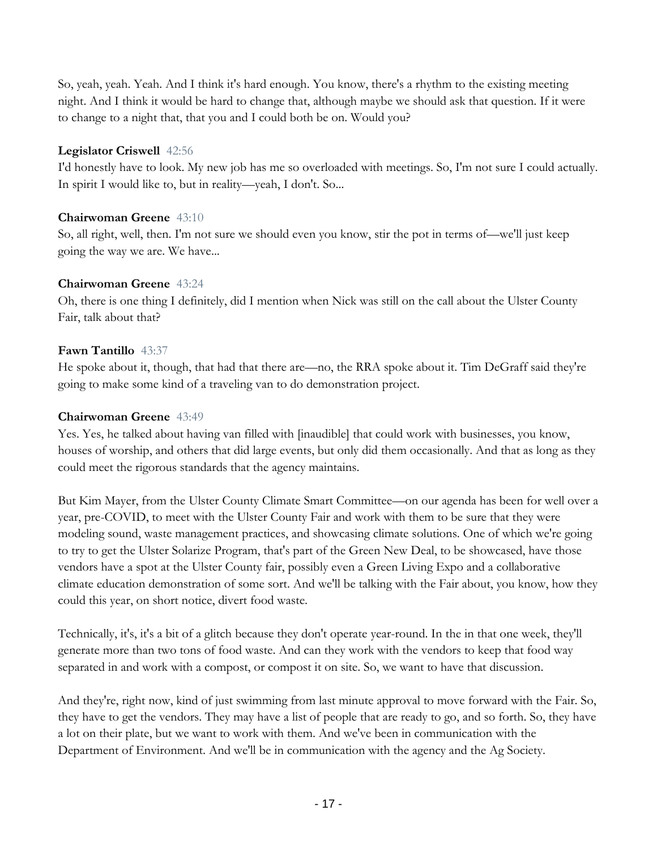So, yeah, yeah. Yeah. And I think it's hard enough. You know, there's a rhythm to the existing meeting night. And I think it would be hard to change that, although maybe we should ask that question. If it were to change to a night that, that you and I could both be on. Would you?

## **Legislator Criswell** 42:56

I'd honestly have to look. My new job has me so overloaded with meetings. So, I'm not sure I could actually. In spirit I would like to, but in reality—yeah, I don't. So...

## **Chairwoman Greene** 43:10

So, all right, well, then. I'm not sure we should even you know, stir the pot in terms of—we'll just keep going the way we are. We have...

## **Chairwoman Greene** 43:24

Oh, there is one thing I definitely, did I mention when Nick was still on the call about the Ulster County Fair, talk about that?

## **Fawn Tantillo** 43:37

He spoke about it, though, that had that there are—no, the RRA spoke about it. Tim DeGraff said they're going to make some kind of a traveling van to do demonstration project.

## **Chairwoman Greene** 43:49

Yes. Yes, he talked about having van filled with [inaudible] that could work with businesses, you know, houses of worship, and others that did large events, but only did them occasionally. And that as long as they could meet the rigorous standards that the agency maintains.

But Kim Mayer, from the Ulster County Climate Smart Committee—on our agenda has been for well over a year, pre-COVID, to meet with the Ulster County Fair and work with them to be sure that they were modeling sound, waste management practices, and showcasing climate solutions. One of which we're going to try to get the Ulster Solarize Program, that's part of the Green New Deal, to be showcased, have those vendors have a spot at the Ulster County fair, possibly even a Green Living Expo and a collaborative climate education demonstration of some sort. And we'll be talking with the Fair about, you know, how they could this year, on short notice, divert food waste.

Technically, it's, it's a bit of a glitch because they don't operate year-round. In the in that one week, they'll generate more than two tons of food waste. And can they work with the vendors to keep that food way separated in and work with a compost, or compost it on site. So, we want to have that discussion.

And they're, right now, kind of just swimming from last minute approval to move forward with the Fair. So, they have to get the vendors. They may have a list of people that are ready to go, and so forth. So, they have a lot on their plate, but we want to work with them. And we've been in communication with the Department of Environment. And we'll be in communication with the agency and the Ag Society.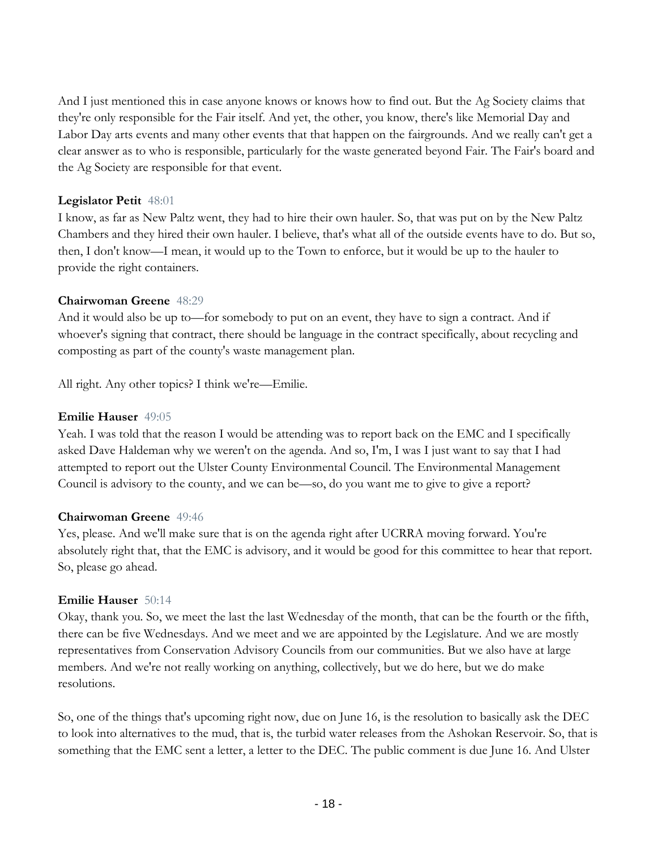And I just mentioned this in case anyone knows or knows how to find out. But the Ag Society claims that they're only responsible for the Fair itself. And yet, the other, you know, there's like Memorial Day and Labor Day arts events and many other events that that happen on the fairgrounds. And we really can't get a clear answer as to who is responsible, particularly for the waste generated beyond Fair. The Fair's board and the Ag Society are responsible for that event.

#### **Legislator Petit** 48:01

I know, as far as New Paltz went, they had to hire their own hauler. So, that was put on by the New Paltz Chambers and they hired their own hauler. I believe, that's what all of the outside events have to do. But so, then, I don't know—I mean, it would up to the Town to enforce, but it would be up to the hauler to provide the right containers.

## **Chairwoman Greene** 48:29

And it would also be up to—for somebody to put on an event, they have to sign a contract. And if whoever's signing that contract, there should be language in the contract specifically, about recycling and composting as part of the county's waste management plan.

All right. Any other topics? I think we're—Emilie.

## **Emilie Hauser** 49:05

Yeah. I was told that the reason I would be attending was to report back on the EMC and I specifically asked Dave Haldeman why we weren't on the agenda. And so, I'm, I was I just want to say that I had attempted to report out the Ulster County Environmental Council. The Environmental Management Council is advisory to the county, and we can be—so, do you want me to give to give a report?

#### **Chairwoman Greene** 49:46

Yes, please. And we'll make sure that is on the agenda right after UCRRA moving forward. You're absolutely right that, that the EMC is advisory, and it would be good for this committee to hear that report. So, please go ahead.

## **Emilie Hauser** 50:14

Okay, thank you. So, we meet the last the last Wednesday of the month, that can be the fourth or the fifth, there can be five Wednesdays. And we meet and we are appointed by the Legislature. And we are mostly representatives from Conservation Advisory Councils from our communities. But we also have at large members. And we're not really working on anything, collectively, but we do here, but we do make resolutions.

So, one of the things that's upcoming right now, due on June 16, is the resolution to basically ask the DEC to look into alternatives to the mud, that is, the turbid water releases from the Ashokan Reservoir. So, that is something that the EMC sent a letter, a letter to the DEC. The public comment is due June 16. And Ulster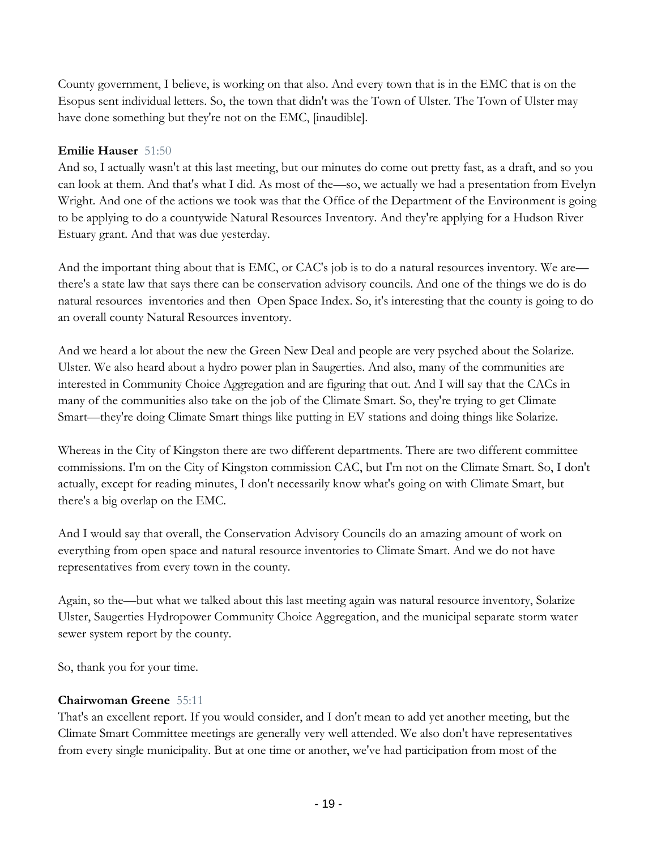County government, I believe, is working on that also. And every town that is in the EMC that is on the Esopus sent individual letters. So, the town that didn't was the Town of Ulster. The Town of Ulster may have done something but they're not on the EMC, [inaudible].

## **Emilie Hauser** 51:50

And so, I actually wasn't at this last meeting, but our minutes do come out pretty fast, as a draft, and so you can look at them. And that's what I did. As most of the—so, we actually we had a presentation from Evelyn Wright. And one of the actions we took was that the Office of the Department of the Environment is going to be applying to do a countywide Natural Resources Inventory. And they're applying for a Hudson River Estuary grant. And that was due yesterday.

And the important thing about that is EMC, or CAC's job is to do a natural resources inventory. We are there's a state law that says there can be conservation advisory councils. And one of the things we do is do natural resources inventories and then Open Space Index. So, it's interesting that the county is going to do an overall county Natural Resources inventory.

And we heard a lot about the new the Green New Deal and people are very psyched about the Solarize. Ulster. We also heard about a hydro power plan in Saugerties. And also, many of the communities are interested in Community Choice Aggregation and are figuring that out. And I will say that the CACs in many of the communities also take on the job of the Climate Smart. So, they're trying to get Climate Smart—they're doing Climate Smart things like putting in EV stations and doing things like Solarize.

Whereas in the City of Kingston there are two different departments. There are two different committee commissions. I'm on the City of Kingston commission CAC, but I'm not on the Climate Smart. So, I don't actually, except for reading minutes, I don't necessarily know what's going on with Climate Smart, but there's a big overlap on the EMC.

And I would say that overall, the Conservation Advisory Councils do an amazing amount of work on everything from open space and natural resource inventories to Climate Smart. And we do not have representatives from every town in the county.

Again, so the—but what we talked about this last meeting again was natural resource inventory, Solarize Ulster, Saugerties Hydropower Community Choice Aggregation, and the municipal separate storm water sewer system report by the county.

So, thank you for your time.

## **Chairwoman Greene** 55:11

That's an excellent report. If you would consider, and I don't mean to add yet another meeting, but the Climate Smart Committee meetings are generally very well attended. We also don't have representatives from every single municipality. But at one time or another, we've had participation from most of the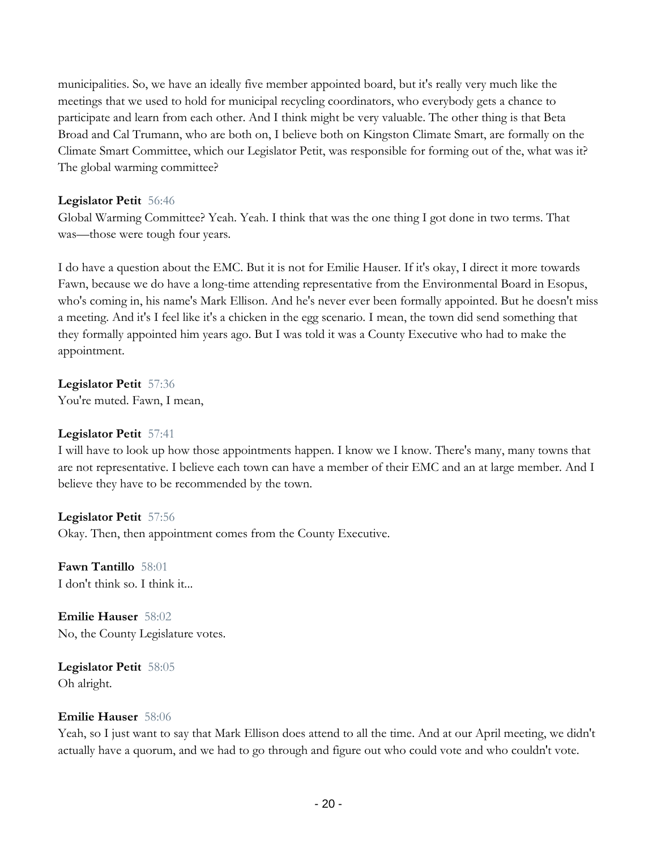municipalities. So, we have an ideally five member appointed board, but it's really very much like the meetings that we used to hold for municipal recycling coordinators, who everybody gets a chance to participate and learn from each other. And I think might be very valuable. The other thing is that Beta Broad and Cal Trumann, who are both on, I believe both on Kingston Climate Smart, are formally on the Climate Smart Committee, which our Legislator Petit, was responsible for forming out of the, what was it? The global warming committee?

#### **Legislator Petit** 56:46

Global Warming Committee? Yeah. Yeah. I think that was the one thing I got done in two terms. That was—those were tough four years.

I do have a question about the EMC. But it is not for Emilie Hauser. If it's okay, I direct it more towards Fawn, because we do have a long-time attending representative from the Environmental Board in Esopus, who's coming in, his name's Mark Ellison. And he's never ever been formally appointed. But he doesn't miss a meeting. And it's I feel like it's a chicken in the egg scenario. I mean, the town did send something that they formally appointed him years ago. But I was told it was a County Executive who had to make the appointment.

**Legislator Petit** 57:36 You're muted. Fawn, I mean,

#### **Legislator Petit** 57:41

I will have to look up how those appointments happen. I know we I know. There's many, many towns that are not representative. I believe each town can have a member of their EMC and an at large member. And I believe they have to be recommended by the town.

#### **Legislator Petit** 57:56

Okay. Then, then appointment comes from the County Executive.

**Fawn Tantillo** 58:01 I don't think so. I think it...

**Emilie Hauser** 58:02 No, the County Legislature votes.

**Legislator Petit** 58:05 Oh alright.

#### **Emilie Hauser** 58:06

Yeah, so I just want to say that Mark Ellison does attend to all the time. And at our April meeting, we didn't actually have a quorum, and we had to go through and figure out who could vote and who couldn't vote.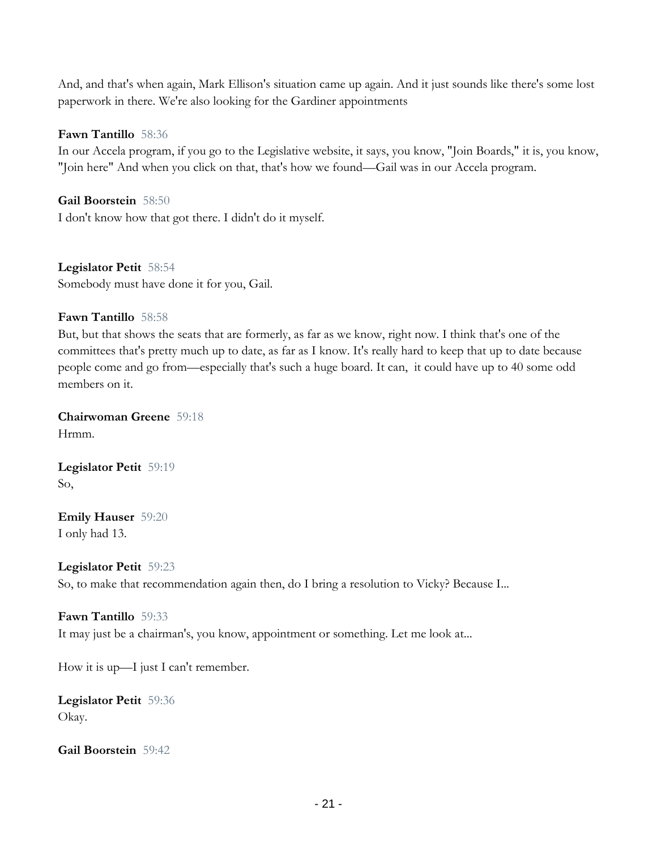And, and that's when again, Mark Ellison's situation came up again. And it just sounds like there's some lost paperwork in there. We're also looking for the Gardiner appointments

## **Fawn Tantillo** 58:36

In our Accela program, if you go to the Legislative website, it says, you know, "Join Boards," it is, you know, "Join here" And when you click on that, that's how we found—Gail was in our Accela program.

**Gail Boorstein** 58:50 I don't know how that got there. I didn't do it myself.

**Legislator Petit** 58:54 Somebody must have done it for you, Gail.

## **Fawn Tantillo** 58:58

But, but that shows the seats that are formerly, as far as we know, right now. I think that's one of the committees that's pretty much up to date, as far as I know. It's really hard to keep that up to date because people come and go from—especially that's such a huge board. It can, it could have up to 40 some odd members on it.

**Chairwoman Greene** 59:18 Hrmm.

**Legislator Petit** 59:19 So,

**Emily Hauser** 59:20 I only had 13.

**Legislator Petit** 59:23 So, to make that recommendation again then, do I bring a resolution to Vicky? Because I...

#### **Fawn Tantillo** 59:33

It may just be a chairman's, you know, appointment or something. Let me look at...

How it is up—I just I can't remember.

**Legislator Petit** 59:36 Okay.

**Gail Boorstein** 59:42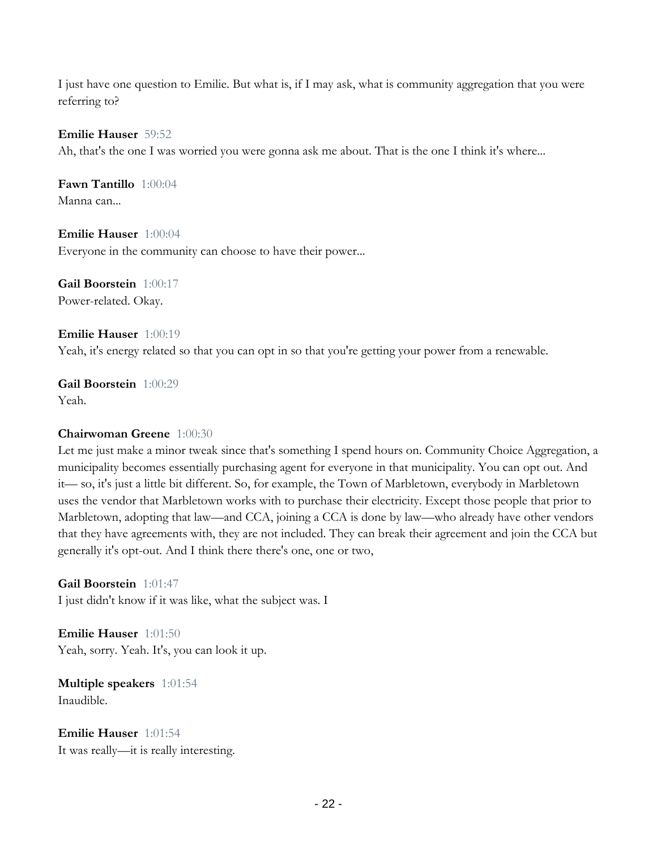I just have one question to Emilie. But what is, if I may ask, what is community aggregation that you were referring to?

#### **Emilie Hauser** 59:52

Ah, that's the one I was worried you were gonna ask me about. That is the one I think it's where...

**Fawn Tantillo** 1:00:04 Manna can...

**Emilie Hauser** 1:00:04 Everyone in the community can choose to have their power...

**Gail Boorstein** 1:00:17 Power-related. Okay.

**Emilie Hauser** 1:00:19 Yeah, it's energy related so that you can opt in so that you're getting your power from a renewable.

**Gail Boorstein** 1:00:29 Yeah.

#### **Chairwoman Greene** 1:00:30

Let me just make a minor tweak since that's something I spend hours on. Community Choice Aggregation, a municipality becomes essentially purchasing agent for everyone in that municipality. You can opt out. And it— so, it's just a little bit different. So, for example, the Town of Marbletown, everybody in Marbletown uses the vendor that Marbletown works with to purchase their electricity. Except those people that prior to Marbletown, adopting that law—and CCA, joining a CCA is done by law—who already have other vendors that they have agreements with, they are not included. They can break their agreement and join the CCA but generally it's opt-out. And I think there there's one, one or two,

**Gail Boorstein** 1:01:47 I just didn't know if it was like, what the subject was. I

**Emilie Hauser** 1:01:50 Yeah, sorry. Yeah. It's, you can look it up.

**Multiple speakers** 1:01:54 Inaudible.

**Emilie Hauser** 1:01:54 It was really—it is really interesting.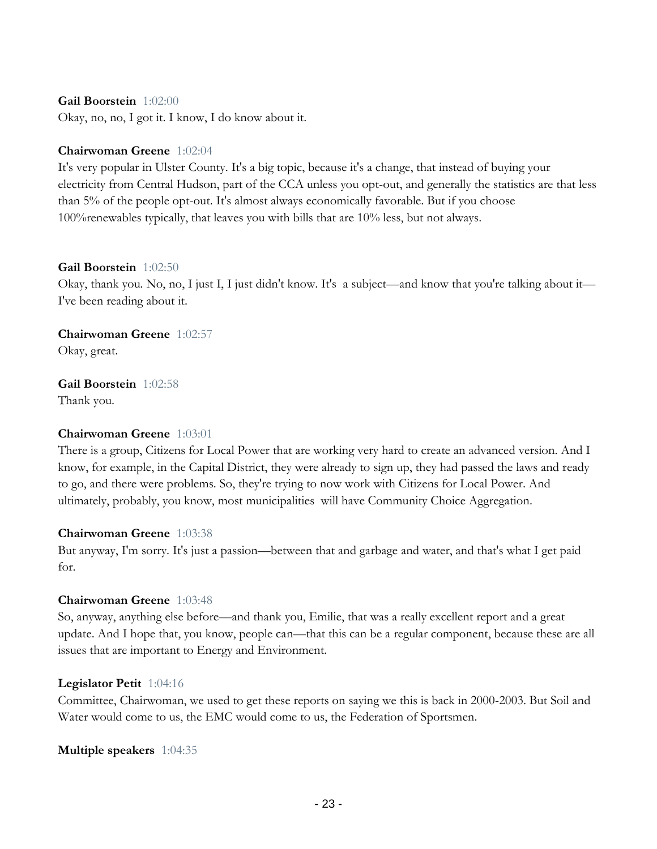#### **Gail Boorstein** 1:02:00

Okay, no, no, I got it. I know, I do know about it.

#### **Chairwoman Greene** 1:02:04

It's very popular in Ulster County. It's a big topic, because it's a change, that instead of buying your electricity from Central Hudson, part of the CCA unless you opt-out, and generally the statistics are that less than 5% of the people opt-out. It's almost always economically favorable. But if you choose 100%renewables typically, that leaves you with bills that are 10% less, but not always.

#### **Gail Boorstein** 1:02:50

Okay, thank you. No, no, I just I, I just didn't know. It's a subject—and know that you're talking about it— I've been reading about it.

## **Chairwoman Greene** 1:02:57

Okay, great.

#### **Gail Boorstein** 1:02:58

Thank you.

#### **Chairwoman Greene** 1:03:01

There is a group, Citizens for Local Power that are working very hard to create an advanced version. And I know, for example, in the Capital District, they were already to sign up, they had passed the laws and ready to go, and there were problems. So, they're trying to now work with Citizens for Local Power. And ultimately, probably, you know, most municipalities will have Community Choice Aggregation.

#### **Chairwoman Greene** 1:03:38

But anyway, I'm sorry. It's just a passion—between that and garbage and water, and that's what I get paid for.

#### **Chairwoman Greene** 1:03:48

So, anyway, anything else before—and thank you, Emilie, that was a really excellent report and a great update. And I hope that, you know, people can—that this can be a regular component, because these are all issues that are important to Energy and Environment.

#### **Legislator Petit** 1:04:16

Committee, Chairwoman, we used to get these reports on saying we this is back in 2000-2003. But Soil and Water would come to us, the EMC would come to us, the Federation of Sportsmen.

#### **Multiple speakers** 1:04:35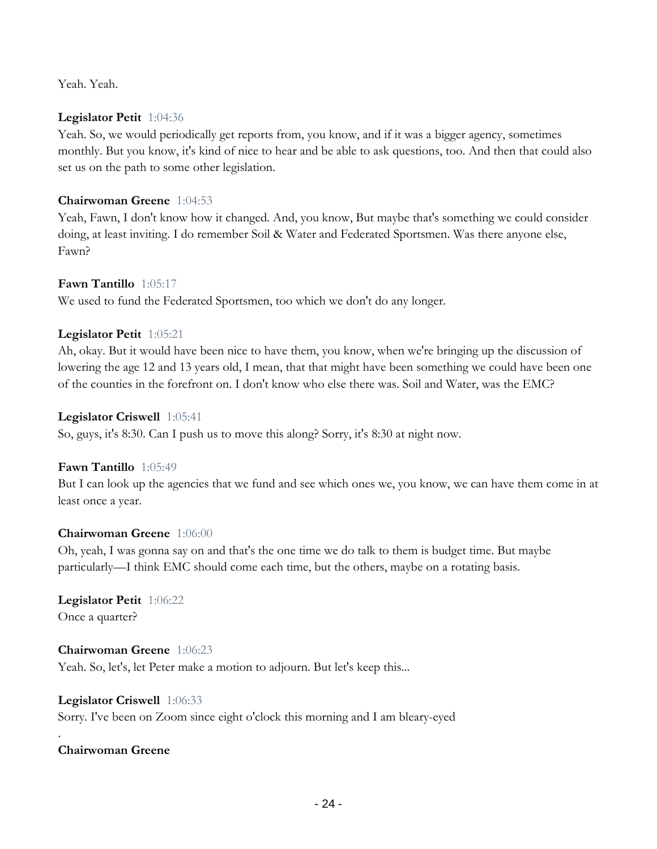Yeah. Yeah.

#### **Legislator Petit** 1:04:36

Yeah. So, we would periodically get reports from, you know, and if it was a bigger agency, sometimes monthly. But you know, it's kind of nice to hear and be able to ask questions, too. And then that could also set us on the path to some other legislation.

## **Chairwoman Greene** 1:04:53

Yeah, Fawn, I don't know how it changed. And, you know, But maybe that's something we could consider doing, at least inviting. I do remember Soil & Water and Federated Sportsmen. Was there anyone else, Fawn?

## **Fawn Tantillo** 1:05:17

We used to fund the Federated Sportsmen, too which we don't do any longer.

## **Legislator Petit** 1:05:21

Ah, okay. But it would have been nice to have them, you know, when we're bringing up the discussion of lowering the age 12 and 13 years old, I mean, that that might have been something we could have been one of the counties in the forefront on. I don't know who else there was. Soil and Water, was the EMC?

## **Legislator Criswell** 1:05:41

So, guys, it's 8:30. Can I push us to move this along? Sorry, it's 8:30 at night now.

#### **Fawn Tantillo** 1:05:49

But I can look up the agencies that we fund and see which ones we, you know, we can have them come in at least once a year.

#### **Chairwoman Greene** 1:06:00

Oh, yeah, I was gonna say on and that's the one time we do talk to them is budget time. But maybe particularly—I think EMC should come each time, but the others, maybe on a rotating basis.

#### **Legislator Petit** 1:06:22 Once a quarter?

**Chairwoman Greene** 1:06:23 Yeah. So, let's, let Peter make a motion to adjourn. But let's keep this...

#### **Legislator Criswell** 1:06:33

Sorry. I've been on Zoom since eight o'clock this morning and I am bleary-eyed

## **Chairwoman Greene**

.